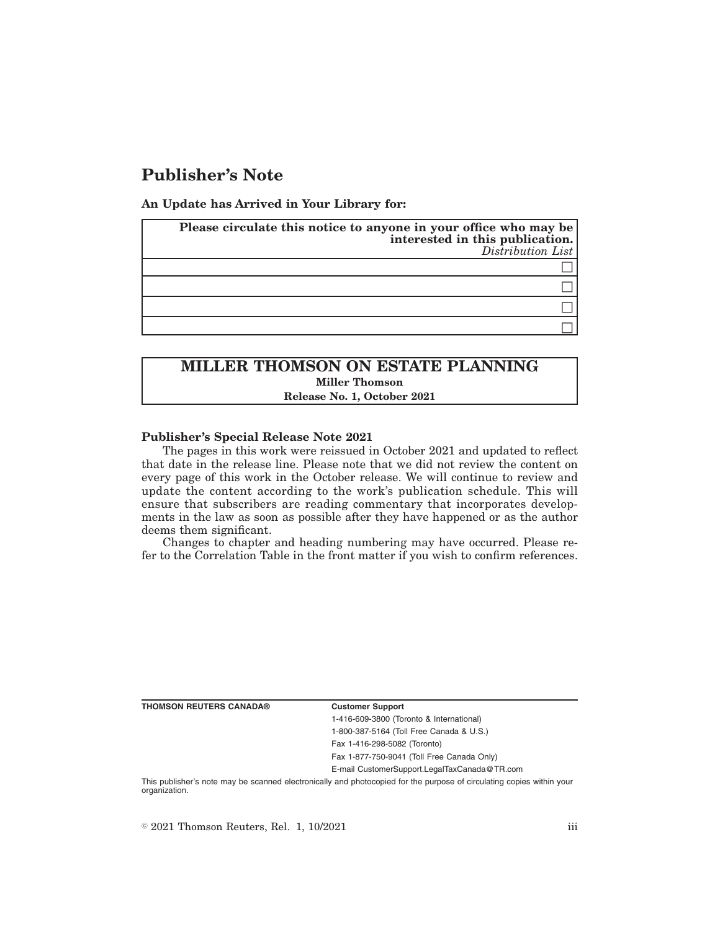# **Publisher's Note**

**An Update has Arrived in Your Library for:**

| Please circulate this notice to anyone in your office who may be<br>interested in this publication.<br>Distribution List |
|--------------------------------------------------------------------------------------------------------------------------|
|                                                                                                                          |
|                                                                                                                          |
|                                                                                                                          |
|                                                                                                                          |

## **MILLER THOMSON ON ESTATE PLANNING Miller Thomson Release No. 1, October 2021**

### **Publisher's Special Release Note 2021**

The pages in this work were reissued in October 2021 and updated to reflect that date in the release line. Please note that we did not review the content on every page of this work in the October release. We will continue to review and update the content according to the work's publication schedule. This will ensure that subscribers are reading commentary that incorporates developments in the law as soon as possible after they have happened or as the author deems them significant.

Changes to chapter and heading numbering may have occurred. Please refer to the Correlation Table in the front matter if you wish to confirm references.

**THOMSON REUTERS CANADA® Customer Support**

1-416-609-3800 (Toronto & International) 1-800-387-5164 (Toll Free Canada & U.S.)

Fax 1-416-298-5082 (Toronto)

Fax 1-877-750-9041 (Toll Free Canada Only)

E-mail CustomerSupport.LegalTaxCanada@TR.com

This publisher's note may be scanned electronically and photocopied for the purpose of circulating copies within your organization.

 $\degree$  2021 Thomson Reuters, Rel. 1, 10/2021 iii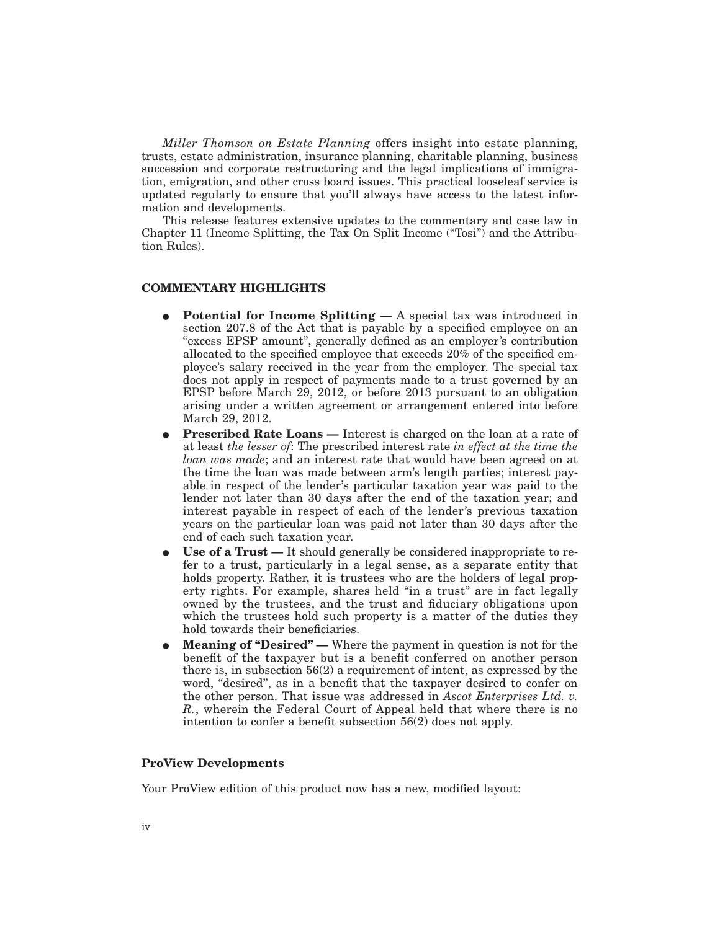*Miller Thomson on Estate Planning* offers insight into estate planning, trusts, estate administration, insurance planning, charitable planning, business succession and corporate restructuring and the legal implications of immigration, emigration, and other cross board issues. This practical looseleaf service is updated regularly to ensure that you'll always have access to the latest information and developments.

This release features extensive updates to the commentary and case law in Chapter 11 (Income Splitting, the Tax On Split Income (''Tosi'') and the Attribution Rules).

### **COMMENTARY HIGHLIGHTS**

- **Potential for Income Splitting —** A special tax was introduced in section 207.8 of the Act that is payable by a specified employee on an "excess EPSP amount", generally defined as an employer's contribution allocated to the specified employee that exceeds 20% of the specified employee's salary received in the year from the employer. The special tax does not apply in respect of payments made to a trust governed by an EPSP before March 29, 2012, or before 2013 pursuant to an obligation arising under a written agreement or arrangement entered into before March 29, 2012.
- **Prescribed Rate Loans —** Interest is charged on the loan at a rate of at least *the lesser of*: The prescribed interest rate *in effect at the time the loan was made*; and an interest rate that would have been agreed on at the time the loan was made between arm's length parties; interest payable in respect of the lender's particular taxation year was paid to the lender not later than 30 days after the end of the taxation year; and interest payable in respect of each of the lender's previous taxation years on the particular loan was paid not later than 30 days after the end of each such taxation year.
- E **Use of a Trust —** It should generally be considered inappropriate to refer to a trust, particularly in a legal sense, as a separate entity that holds property. Rather, it is trustees who are the holders of legal property rights. For example, shares held "in a trust" are in fact legally owned by the trustees, and the trust and fiduciary obligations upon which the trustees hold such property is a matter of the duties they hold towards their beneficiaries.
- **Meaning of "Desired"** Where the payment in question is not for the benefit of the taxpayer but is a benefit conferred on another person there is, in subsection 56(2) a requirement of intent, as expressed by the word, "desired", as in a benefit that the taxpayer desired to confer on the other person. That issue was addressed in *Ascot Enterprises Ltd. v. R.*, wherein the Federal Court of Appeal held that where there is no intention to confer a benefit subsection 56(2) does not apply.

### **ProView Developments**

Your ProView edition of this product now has a new, modified layout: